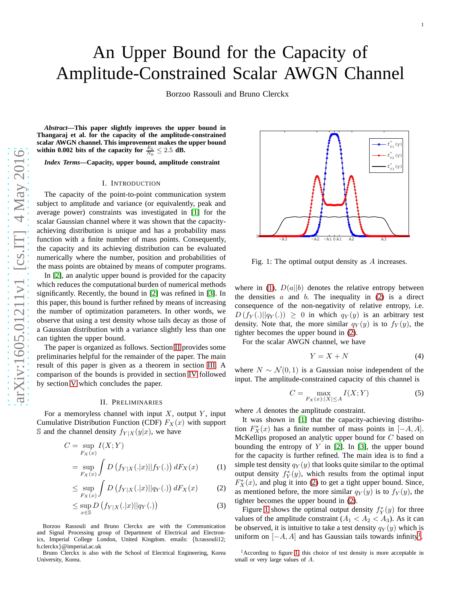Borzoo Rassouli and Bruno Clerckx

*Abstract***—This paper slightly improves the upper bound in Thangaraj et al. for the capacity of the amplitude-constrained scalar AWGN channel. This improvement makes the upper bound** within 0.002 bits of the capacity for  $\frac{E_b}{N_0} \leq 2.5$  dB.

*Index Terms***—Capacity, upper bound, amplitude constraint**

#### I. INTRODUCTION

The capacity of the point-to-point communication system subject to amplitude and variance (or equivalently, peak an d average power) constraints was investigated in [\[1\]](#page-3-0) for the scalar Gaussian channel where it was shown that the capacity achieving distribution is unique and has a probability mass function with a finite number of mass points. Consequently, the capacity and its achieving distribution can be evaluate d numerically where the number, position and probabilities o f the mass points are obtained by means of computer programs.

In [\[2\]](#page-3-1), an analytic upper bound is provided for the capacity which reduces the computational burden of numerical method s significantly. Recently, the bound in [\[2\]](#page-3-1) was refined in [\[3\]](#page-3-2). I n this paper, this bound is further refined by means of increasing the number of optimization parameters. In other words, we observe that using a test density whose tails decay as those o f a Gaussian distribution with a variance slightly less than one can tighten the upper bound.

The paper is organized as follows. Section [II](#page-0-0) provides some preliminaries helpful for the remainder of the paper. The main result of this paper is given as a theorem in section [III.](#page-1-0) A comparison of the bounds is provided in section [IV](#page-1-1) followed by section [V](#page-2-0) which concludes the paper.

#### II. PRELIMINARIES

<span id="page-0-0"></span>For a memoryless channel with input  $X$ , output  $Y$ , input Cumulative Distribution Function (CDF)  $F_X(x)$  with support S and the channel density  $f_{Y|X}(y|x)$ , we have

$$
C = \sup_{F_X(x)} I(X;Y)
$$
  
= 
$$
\sup_{F_X(x)} \int D(f_{Y|X}(.|x)||f_Y(.)) dF_X(x)
$$
 (1)

$$
\leq \sup_{F_X(x)} \int D\left(f_{Y|X}(.|x)||q_Y(.)\right) dF_X(x) \tag{2}
$$

$$
\leq \sup_{x \in \mathbb{S}} D\left(f_{Y|X}(.|x)||q_Y(.)\right) \tag{3}
$$

Borzoo Rassouli and Bruno Clerckx are with the Communicatio n and Signal Processing group of Department of Electrical and Electronics, Imperial College London, United Kingdom. emails: {b.rassouli12; b.clerckx }@imperial.ac.uk

Bruno Clerckx is also with the School of Electrical Engineering, Korea University, Korea.



<span id="page-0-3"></span>Fig. 1: The optimal output density as A increases.

where in [\(1\)](#page-0-1),  $D(a||b)$  denotes the relative entropy between the densities  $a$  and  $b$ . The inequality in [\(2\)](#page-0-2) is a direct consequence of the non-negativity of relative entropy, i.e .  $D(f_Y(.)||q_Y(.)) \geq 0$  in which  $q_Y(y)$  is an arbitrary test density. Note that, the more similar  $q_Y(y)$  is to  $f_Y(y)$ , the tighter becomes the upper bound in [\(2\)](#page-0-2).

For the scalar AWGN channel, we have

$$
Y = X + N \tag{4}
$$

1

where  $N \sim \mathcal{N}(0, 1)$  is a Gaussian noise independent of the input. The amplitude-constrained capacity of this channel is

<span id="page-0-5"></span>
$$
C = \max_{F_X(x):|X| \le A} I(X;Y) \tag{5}
$$

where A denotes the amplitude constraint.

<span id="page-0-1"></span>It was shown in [\[1\]](#page-3-0) that the capacity-achieving distribution  $F^*(x)$  has a finite number of mass points in [−A, A]. McKellips proposed an analytic upper bound for C based on bounding the entropy of  $Y$  in [\[2\]](#page-3-1). In [\[3\]](#page-3-2), the upper bound for the capacity is further refined. The main idea is to find a simple test density  $q_Y(y)$  that looks quite similar to the optimal output density  $f_Y^*(y)$ , which results from the optimal input  $F_X^*(x)$ , and plug it into [\(2\)](#page-0-2) to get a tight upper bound. Since, as mentioned before, the more similar  $q_Y(y)$  is to  $f_Y(y)$ , the tighter becomes the upper bound in [\(2\)](#page-0-2).

<span id="page-0-6"></span><span id="page-0-2"></span>Figure [1](#page-0-3) shows the optimal output density  $f_Y^*(y)$  for three values of the amplitude constraint  $(A_1 < A_2 < A_3)$ . As it can be observed, it is intuitive to take a test density  $q_Y(y)$  which is uniform on  $[-A, A]$  and has Gaussian tails towards infinity<sup>[1](#page-0-4)</sup>.

<span id="page-0-4"></span> $1$ According to figure [1,](#page-0-3) this choice of test density is more acceptable in small or very large values of A.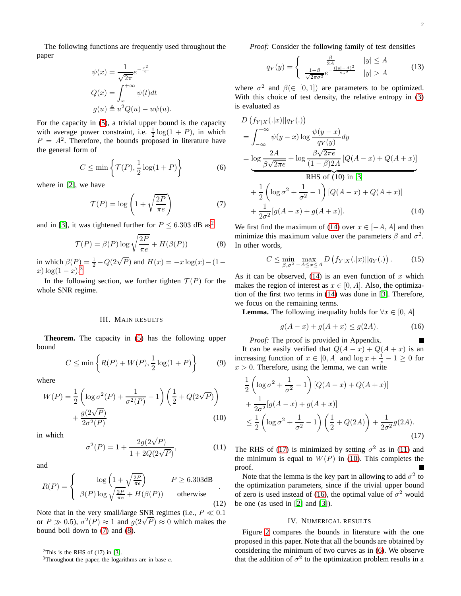The following functions are frequently used throughout the paper

$$
\psi(x) = \frac{1}{\sqrt{2\pi}} e^{-\frac{x^2}{2}}
$$

$$
Q(x) = \int_x^{+\infty} \psi(t) dt
$$

$$
g(u) \triangleq u^2 Q(u) - u\psi(u).
$$

For the capacity in [\(5\)](#page-0-5), a trivial upper bound is the capacity with average power constraint, i.e.  $\frac{1}{2} \log(1 + P)$ , in which  $P = A<sup>2</sup>$ . Therefore, the bounds proposed in literature have the general form of

<span id="page-1-11"></span>
$$
C \le \min\left\{\mathcal{T}(P), \frac{1}{2}\log(1+P)\right\} \tag{6}
$$

where in [\[2\]](#page-3-1), we have

<span id="page-1-4"></span>
$$
\mathcal{T}(P) = \log\left(1 + \sqrt{\frac{2P}{\pi e}}\right) \tag{7}
$$

and in [\[3\]](#page-3-2), it was tightened further for  $P \leq 6.303$  dB as<sup>[2](#page-1-2)</sup>

<span id="page-1-5"></span>
$$
\mathcal{T}(P) = \beta(P) \log \sqrt{\frac{2P}{\pi e}} + H(\beta(P))
$$
 (8)

in which  $\beta(P) = \frac{1}{2} - Q(2\sqrt{P})$  and  $H(x) = -x \log(x) - (1$  $x) \log(1-x).$ <sup>[3](#page-1-3)</sup>

In the following section, we further tighten  $\mathcal{T}(P)$  for the whole SNR regime.

### III. MAIN RESULTS

<span id="page-1-0"></span>**Theorem.** The capacity in [\(5\)](#page-0-5) has the following upper bound

$$
C \le \min\left\{ R(P) + W(P), \frac{1}{2}\log(1+P) \right\} \tag{9}
$$

where

$$
W(P) = \frac{1}{2} \left( \log \sigma^2(P) + \frac{1}{\sigma^2(P)} - 1 \right) \left( \frac{1}{2} + Q(2\sqrt{P}) \right) + \frac{g(2\sqrt{P})}{2\sigma^2(P)} \tag{10}
$$

in which

<span id="page-1-8"></span>
$$
\sigma^{2}(P) = 1 + \frac{2g(2\sqrt{P})}{1 + 2Q(2\sqrt{P})},
$$
\n(11)

and

$$
R(P) = \begin{cases} \log\left(1 + \sqrt{\frac{2P}{\pi e}}\right) & P \ge 6.303 \text{dB} \\ \beta(P) \log \sqrt{\frac{2P}{\pi e}} + H(\beta(P)) & \text{otherwise} \end{cases}
$$
(12)

Note that in the very small/large SNR regimes (i.e.,  $P \ll 0.1$ or  $P \gg 0.5$ ),  $\sigma^2(P) \approx 1$  and  $g(2\sqrt{P}) \approx 0$  which makes the bound boil down to [\(7\)](#page-1-4) and [\(8\)](#page-1-5).

<sup>2</sup>This is the RHS of  $(17)$  in [\[3\]](#page-3-2).

<span id="page-1-3"></span><span id="page-1-2"></span> $3$ Throughout the paper, the logarithms are in base  $e$ .

*Proof:* Consider the following family of test densities

$$
q_Y(y) = \begin{cases} \frac{\beta}{2A} & |y| \le A\\ \frac{1-\beta}{\sqrt{2\pi\sigma^2}} e^{-\frac{(|y|-A)^2}{2\sigma^2}} & |y| > A \end{cases}
$$
(13)

where  $\sigma^2$  and  $\beta(\in [0, 1])$  are parameters to be optimized. With this choice of test density, the relative entropy in  $(3)$ is evaluated as

$$
D\left(f_{Y|X}(.|x)||q_{Y}(.)\right)
$$
\n
$$
= \int_{-\infty}^{+\infty} \psi(y-x) \log \frac{\psi(y-x)}{q_{Y}(y)} dy
$$
\n
$$
= \log \frac{2A}{\beta\sqrt{2\pi e}} + \log \frac{\beta\sqrt{2\pi e}}{(1-\beta)2A} [Q(A-x) + Q(A+x)]
$$
\nRHS of (10) in [3]\n
$$
+ \frac{1}{2} \left( \log \sigma^{2} + \frac{1}{\sigma^{2}} - 1 \right) [Q(A-x) + Q(A+x)]
$$
\n
$$
+ \frac{1}{2\sigma^{2}} [g(A-x) + g(A+x)]. \tag{14}
$$

We first find the maximum of [\(14\)](#page-1-6) over  $x \in [-A, A]$  and then minimize this maximum value over the parameters  $\beta$  and  $\sigma^2$ . In other words,

<span id="page-1-6"></span>
$$
C \le \min_{\beta, \sigma^2 - A \le x \le A} D\left(f_{Y|X}(.|x)||q_Y(.)\right). \tag{15}
$$

As it can be observed,  $(14)$  is an even function of x which makes the region of interest as  $x \in [0, A]$ . Also, the optimization of the first two terms in [\(14\)](#page-1-6) was done in [\[3\]](#page-3-2). Therefore, we focus on the remaining terms.

**Lemma.** The following inequality holds for  $\forall x \in [0, A]$ 

<span id="page-1-10"></span>
$$
g(A - x) + g(A + x) \le g(2A). \tag{16}
$$

*Proof:* The proof is provided in Appendix. ш It can be easily verified that  $Q(A-x) + Q(A+x)$  is an increasing function of  $x \in [0, A]$  and  $\log x + \frac{1}{x} - 1 \ge 0$  for  $x > 0$ . Therefore, using the lemma, we can write

$$
\frac{1}{2} \left( \log \sigma^2 + \frac{1}{\sigma^2} - 1 \right) [Q(A - x) + Q(A + x)] \n+ \frac{1}{2\sigma^2} [g(A - x) + g(A + x)] \n\leq \frac{1}{2} \left( \log \sigma^2 + \frac{1}{\sigma^2} - 1 \right) \left( \frac{1}{2} + Q(2A) \right) + \frac{1}{2\sigma^2} g(2A).
$$
\n(17)

<span id="page-1-9"></span>The RHS of [\(17\)](#page-1-7) is minimized by setting  $\sigma^2$  as in [\(11\)](#page-1-8) and the minimum is equal to  $W(P)$  in [\(10\)](#page-1-9). This completes the proof.

Note that the lemma is the key part in allowing to add  $\sigma^2$  to the optimization parameters, since if the trivial upper bound of zero is used instead of [\(16\)](#page-1-10), the optimal value of  $\sigma^2$  would be one (as used in [\[2\]](#page-3-1) and [\[3\]](#page-3-2)).

#### <span id="page-1-7"></span>IV. NUMERICAL RESULTS

<span id="page-1-1"></span>Figure [2](#page-2-1) compares the bounds in literature with the one proposed in this paper. Note that all the bounds are obtained by considering the minimum of two curves as in [\(6\)](#page-1-11). We observe that the addition of  $\sigma^2$  to the optimization problem results in a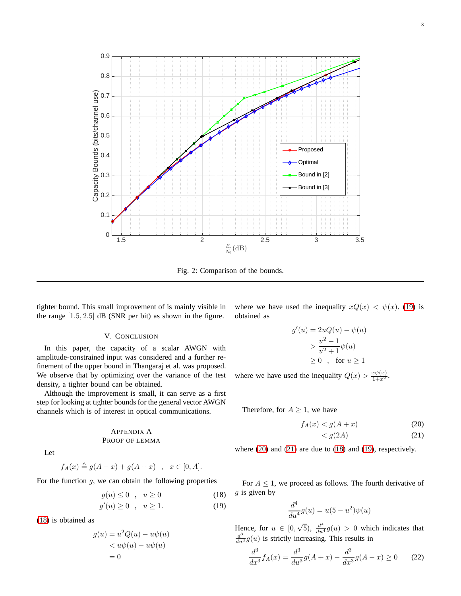

<span id="page-2-1"></span>Fig. 2: Comparison of the bounds.

tighter bound. This small improvement of is mainly visible in the range  $[1.5, 2.5]$  dB (SNR per bit) as shown in the figure.

## V. CONCLUSION

<span id="page-2-0"></span>In this paper, the capacity of a scalar AWGN with amplitude-constrained input was considered and a further refinement of the upper bound in Thangaraj et al. was proposed. We observe that by optimizing over the variance of the test density, a tighter bound can be obtained.

Although the improvement is small, it can serve as a first step for looking at tighter bounds for the general vector AWGN channels which is of interest in optical communications.

# APPENDIX A PROOF OF LEMMA

Let

$$
f_A(x) \triangleq g(A-x) + g(A+x) \quad , \quad x \in [0, A].
$$

For the function  $g$ , we can obtain the following properties

$$
g(u) \le 0 \quad , \quad u \ge 0 \tag{18}
$$

$$
g'(u) \ge 0 \quad , \quad u \ge 1. \tag{19}
$$

[\(18\)](#page-2-2) is obtained as

 $\mathfrak g$ 

$$
(u) = u2Q(u) - u\psi(u)
$$
  
< 
$$
< u\psi(u) - u\psi(u)
$$
  

$$
= 0
$$

where we have used the inequality  $xQ(x) < \psi(x)$ . [\(19\)](#page-2-3) is obtained as

$$
g'(u) = 2uQ(u) - \psi(u)
$$
  
> 
$$
\frac{u^2 - 1}{u^2 + 1}\psi(u)
$$
  
\ge 0 , for  $u \ge 1$ 

where we have used the inequality  $Q(x) > \frac{x\psi(x)}{1+x^2}$ .

Therefore, for  $A \geq 1$ , we have

$$
f_A(x) < g(A+x) \tag{20}
$$

<span id="page-2-5"></span><span id="page-2-4"></span>
$$
\langle g(2A) \tag{21}
$$

where [\(20\)](#page-2-4) and [\(21\)](#page-2-5) are due to [\(18\)](#page-2-2) and [\(19\)](#page-2-3), respectively.

<span id="page-2-3"></span><span id="page-2-2"></span>For  $A \leq 1$ , we proceed as follows. The fourth derivative of  $g$  is given by

$$
\frac{d^4}{du^4}g(u) = u(5 - u^2)\psi(u)
$$

Hence, for  $u \in [0, \sqrt{5})$ ,  $\frac{d^4}{du^4}g(u) > 0$  which indicates that  $\frac{d^3}{du^3}g(u)$  is strictly increasing. This results in

<span id="page-2-6"></span>
$$
\frac{d^3}{dx^3}f_A(x) = \frac{d^3}{du^3}g(A+x) - \frac{d^3}{dx^3}g(A-x) \ge 0 \qquad (22)
$$